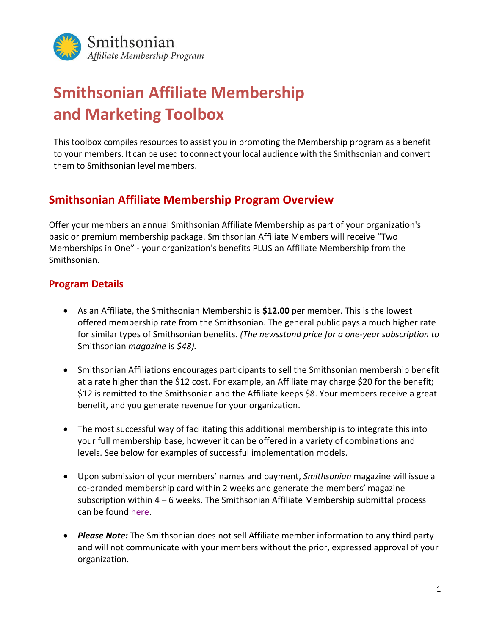

# **Smithsonian Affiliate Membership and Marketing Toolbox**

This toolbox compiles resources to assist you in promoting the Membership program as a benefit to your members. It can be used to connect your local audience with the Smithsonian and convert them to Smithsonian level members.

### **Smithsonian Affiliate Membership Program Overview**

Offer your members an annual Smithsonian Affiliate Membership as part of your organization's basic or premium membership package. Smithsonian Affiliate Members will receive "Two Memberships in One" - your organization's benefits PLUS an Affiliate Membership from the Smithsonian.

#### **Program Details**

- As an Affiliate, the Smithsonian Membership is **\$12.00** per member. This is the lowest offered membership rate from the Smithsonian. The general public pays a much higher rate for similar types of Smithsonian benefits. *(The newsstand price for a one-year subscription to*  Smithsonian *magazine* is *\$48).*
- Smithsonian Affiliations encourages participants to sell the Smithsonian membership benefit at a rate higher than the \$12 cost. For example, an Affiliate may charge \$20 for the benefit; \$12 is remitted to the Smithsonian and the Affiliate keeps \$8. Your members receive a great benefit, and you generate revenue for your organization.
- The most successful way of facilitating this additional membership is to integrate this into your full membership base, however it can be offered in a variety of combinations and levels. See below for examples of successful implementation models.
- Upon submission of your members' names and payment, *Smithsonian* magazine will issue a co-branded membership card within 2 weeks and generate the members' magazine subscription within  $4 - 6$  weeks. The Smithsonian Affiliate Membership submittal process can be found [here.](https://sinet-my.sharepoint.com/personal/wimberlyn_si_edu/Documents/Membership/Payment%20Portal%20Conversion_2021/Affiliate%20Portal%20User%20Guide.pdf)
- *Please Note:* The Smithsonian does not sell Affiliate member information to any third party and will not communicate with your members without the prior, expressed approval of your organization.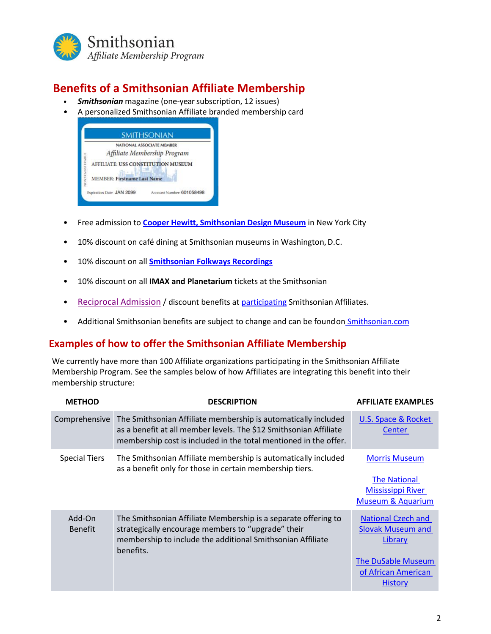

# **Benefits of a Smithsonian Affiliate Membership**

- *Smithsonian* magazine (one-year subscription, 12 issues)
- A personalized Smithsonian Affiliate branded membership card



- Free admission to **Cooper Hewitt, [Smithsonian](http://www.cooperhewitt.org/) Design Museum** in New York City
- 10% discount on café dining at Smithsonian museums in Washington, D.C.
- 10% discount on all **[Smithsonian Folkways](https://folkways.si.edu/folkways-recordings/smithsonian) Recordings**
- 10% discount on all **IMAX and Planetarium** tickets at the Smithsonian
- [Reciprocal Admission](https://affiliations.si.edu/affiliate-benefits/membership/affiliate-reciprocal-membership/) / discount benefits at [participating](file:///C:/Users/wimberlyn/OneDrive%20-%20Smithsonian%20Institution/Membership/Reciprocal%20Network/Reciprocal%20Lists%20(by%20year)/2022/May_2022_Reciprocal%20List.pdf) Smithsonian Affiliates.
- Additional Smithsonian benefits are subject to change and can be foundon [Smithsonian.com](http://www.smithsonianmag.com/member-services/?no-ist)

#### **Examples of how to offer the Smithsonian Affiliate Membership**

We currently have more than 100 Affiliate organizations participating in the Smithsonian Affiliate Membership Program. See the samples below of how Affiliates are integrating this benefit into their membership structure:

| <b>METHOD</b>            | <b>DESCRIPTION</b>                                                                                                                                                                                      | <b>AFFILIATE EXAMPLES</b>                                                                                                              |
|--------------------------|---------------------------------------------------------------------------------------------------------------------------------------------------------------------------------------------------------|----------------------------------------------------------------------------------------------------------------------------------------|
| Comprehensive            | The Smithsonian Affiliate membership is automatically included<br>as a benefit at all member levels. The \$12 Smithsonian Affiliate<br>membership cost is included in the total mentioned in the offer. | U.S. Space & Rocket<br><b>Center</b>                                                                                                   |
| <b>Special Tiers</b>     | The Smithsonian Affiliate membership is automatically included<br>as a benefit only for those in certain membership tiers.                                                                              | <b>Morris Museum</b><br><b>The National</b><br><b>Mississippi River</b><br><b>Museum &amp; Aquarium</b>                                |
| Add-On<br><b>Benefit</b> | The Smithsonian Affiliate Membership is a separate offering to<br>strategically encourage members to "upgrade" their<br>membership to include the additional Smithsonian Affiliate<br>benefits.         | <b>National Czech and</b><br><b>Slovak Museum and</b><br>Library<br><b>The DuSable Museum</b><br>of African American<br><b>History</b> |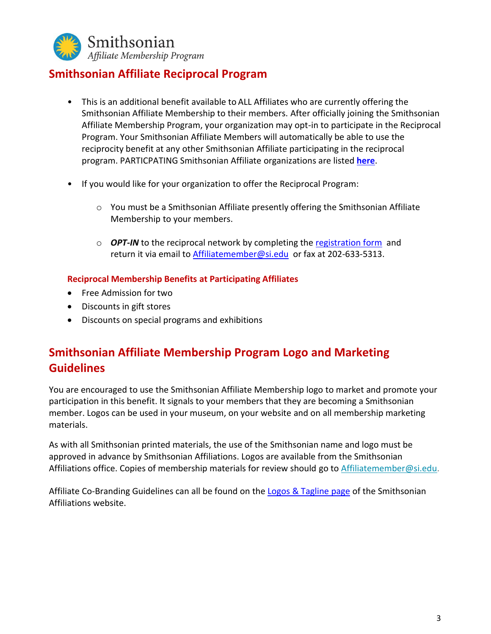

## **Smithsonian Affiliate Reciprocal Program**

- This is an additional benefit available to ALL Affiliates who are currently offering the Smithsonian Affiliate Membership to their members. After officially joining the Smithsonian Affiliate Membership Program, your organization may opt-in to participate in the Reciprocal Program. Your Smithsonian Affiliate Members will automatically be able to use the reciprocity benefit at any other Smithsonian Affiliate participating in the reciprocal program. PARTICPATING Smithsonian Affiliate organizations are listed **[here](https://sinet-my.sharepoint.com/personal/wimberlyn_si_edu/Documents/Membership/Reciprocal%20Network/Reciprocal%20Lists%20(by%20year)/2022/May_2022_Reciprocal%20List.pdf)**.
- If you would like for your organization to offer the Reciprocal Program:
	- $\circ$  You must be a Smithsonian Affiliate presently offering the Smithsonian Affiliate Membership to your members.
	- o *OPT-IN* to the reciprocal network by completing the [registration form](https://affiliations.si.edu/wp-content/uploads/2019/02/reciprocal-form-dec2018.pdf) and return it via email to **[Affiliatemember@si.edu](mailto:Affiliatemember@si.edu)** or fax at 202-633-5313.

#### **Reciprocal Membership Benefits at Participating Affiliates**

- Free Admission for two
- Discounts in gift stores
- Discounts on special programs and exhibitions

# **Smithsonian Affiliate Membership Program Logo and Marketing Guidelines**

You are encouraged to use the Smithsonian Affiliate Membership logo to market and promote your participation in this benefit. It signals to your members that they are becoming a Smithsonian member. Logos can be used in your museum, on your website and on all membership marketing materials.

As with all Smithsonian printed materials, the use of the Smithsonian name and logo must be approved in advance by Smithsonian Affiliations. Logos are available from the Smithsonian Affiliations office. Copies of membership materials for review should go to [Affiliatemember@si.edu.](mailto:Affiliatemember@si.edu)

Affiliate Co-Branding Guidelines can all be found on th[e Logos & Tagline page](https://affiliations.si.edu/logos-taglines/) of the Smithsonian Affiliations website.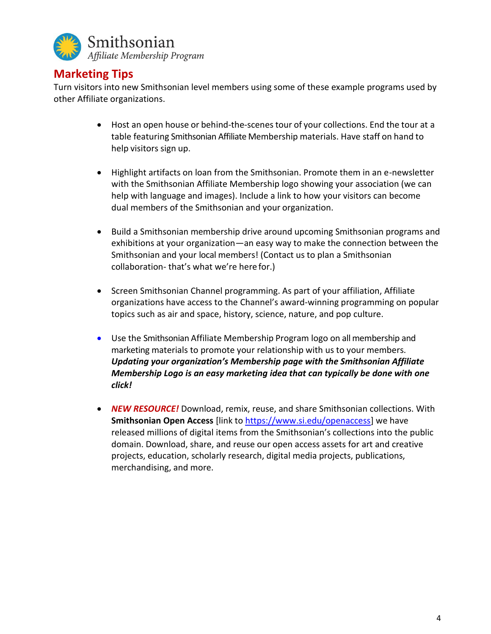

### **Marketing Tips**

Turn visitors into new Smithsonian level members using some of these example programs used by other Affiliate organizations.

- Host an open house or behind-the-scenestour of your collections. End the tour at a table featuring Smithsonian Affiliate Membership materials. Have staff on hand to help visitors sign up.
- Highlight artifacts on loan from the Smithsonian. Promote them in an e-newsletter with the Smithsonian Affiliate Membership logo showing your association (we can help with language and images). Include a link to how your visitors can become dual members of the Smithsonian and your organization.
- Build a Smithsonian membership drive around upcoming Smithsonian programs and exhibitions at your organization—an easy way to make the connection between the Smithsonian and your local members! (Contact us to plan a Smithsonian collaboration- that's what we're here for.)
- Screen Smithsonian Channel programming. As part of your affiliation, Affiliate organizations have access to the Channel's award-winning programming on popular topics such as air and space, history, science, nature, and pop culture.
- Use the Smithsonian Affiliate Membership Program logo on all membership and marketing materials to promote your relationship with us to your members. *Updating your organization's Membership page with the Smithsonian Affiliate Membership Logo is an easy marketing idea that can typically be done with one click!*
- *NEW RESOURCE!* Download, remix, reuse, and share Smithsonian collections. With **Smithsonian Open Access** [link t[o https://www.si.edu/openaccess\]](https://www.si.edu/openaccess) we have released millions of digital items from the Smithsonian's collections into the public domain. Download, share, and reuse our open access assets for art and creative projects, education, scholarly research, digital media projects, publications, merchandising, and more.